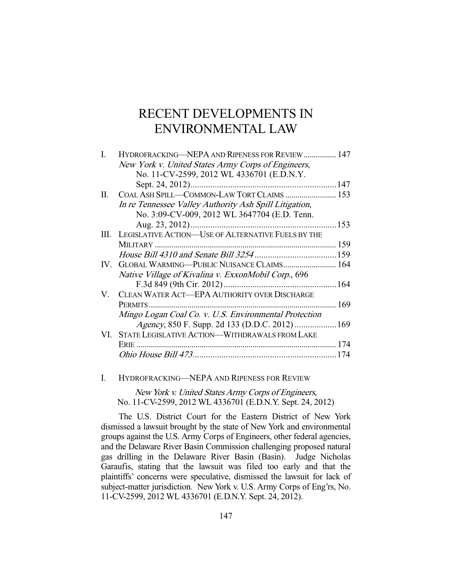# RECENT DEVELOPMENTS IN ENVIRONMENTAL LAW

| L  | HYDROFRACKING—NEPA AND RIPENESS FOR REVIEW 147          |     |
|----|---------------------------------------------------------|-----|
|    | New York v. United States Army Corps of Engineers,      |     |
|    | No. 11-CV-2599, 2012 WL 4336701 (E.D.N.Y.               |     |
|    | Sept. 24, 2012)                                         |     |
| П. | COAL ASH SPILL-COMMON-LAW TORT CLAIMS  153              |     |
|    | In re Tennessee Valley Authority Ash Spill Litigation,  |     |
|    | No. 3:09-CV-009, 2012 WL 3647704 (E.D. Tenn.            |     |
|    |                                                         |     |
|    | III. LEGISLATIVE ACTION-USE OF ALTERNATIVE FUELS BY THE |     |
|    |                                                         |     |
|    |                                                         |     |
|    | IV. GLOBAL WARMING-PUBLIC NUISANCE CLAIMS 164           |     |
|    | Native Village of Kivalina v. ExxonMobil Corp., 696     |     |
|    |                                                         |     |
| V. | CLEAN WATER ACT-EPA AUTHORITY OVER DISCHARGE            |     |
|    | PERMITS                                                 | 169 |
|    | Mingo Logan Coal Co. v. U.S. Environmental Protection   |     |
|    |                                                         |     |
|    | VI. STATE LEGISLATIVE ACTION—WITHDRAWALS FROM LAKE      |     |
|    | ERIE.                                                   |     |
|    |                                                         | 74  |
|    |                                                         |     |

# I. HYDROFRACKING—NEPA AND RIPENESS FOR REVIEW

New York v. United States Army Corps of Engineers, No. 11-CV-2599, 2012 WL 4336701 (E.D.N.Y. Sept. 24, 2012)

 The U.S. District Court for the Eastern District of New York dismissed a lawsuit brought by the state of New York and environmental groups against the U.S. Army Corps of Engineers, other federal agencies, and the Delaware River Basin Commission challenging proposed natural gas drilling in the Delaware River Basin (Basin). Judge Nicholas Garaufis, stating that the lawsuit was filed too early and that the plaintiffs' concerns were speculative, dismissed the lawsuit for lack of subject-matter jurisdiction. New York v. U.S. Army Corps of Eng'rs, No. 11-CV-2599, 2012 WL 4336701 (E.D.N.Y. Sept. 24, 2012).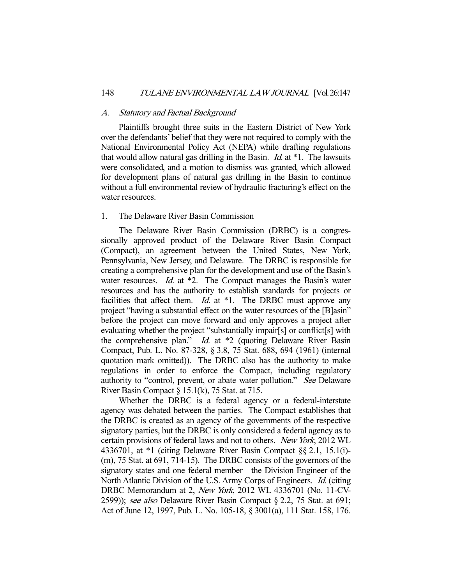#### A. Statutory and Factual Background

 Plaintiffs brought three suits in the Eastern District of New York over the defendants' belief that they were not required to comply with the National Environmental Policy Act (NEPA) while drafting regulations that would allow natural gas drilling in the Basin.  $Id$  at  $*1$ . The lawsuits were consolidated, and a motion to dismiss was granted, which allowed for development plans of natural gas drilling in the Basin to continue without a full environmental review of hydraulic fracturing's effect on the water resources.

# 1. The Delaware River Basin Commission

 The Delaware River Basin Commission (DRBC) is a congressionally approved product of the Delaware River Basin Compact (Compact), an agreement between the United States, New York, Pennsylvania, New Jersey, and Delaware. The DRBC is responsible for creating a comprehensive plan for the development and use of the Basin's water resources. *Id.* at \*2. The Compact manages the Basin's water resources and has the authority to establish standards for projects or facilities that affect them.  $Id.$  at  $*1$ . The DRBC must approve any project "having a substantial effect on the water resources of the [B]asin" before the project can move forward and only approves a project after evaluating whether the project "substantially impair[s] or conflict[s] with the comprehensive plan." *Id.* at \*2 (quoting Delaware River Basin Compact, Pub. L. No. 87-328, § 3.8, 75 Stat. 688, 694 (1961) (internal quotation mark omitted)). The DRBC also has the authority to make regulations in order to enforce the Compact, including regulatory authority to "control, prevent, or abate water pollution." See Delaware River Basin Compact  $\S 15.1(k)$ , 75 Stat. at 715.

 Whether the DRBC is a federal agency or a federal-interstate agency was debated between the parties. The Compact establishes that the DRBC is created as an agency of the governments of the respective signatory parties, but the DRBC is only considered a federal agency as to certain provisions of federal laws and not to others. New York, 2012 WL 4336701, at \*1 (citing Delaware River Basin Compact §§ 2.1, 15.1(i)- (m), 75 Stat. at 691, 714-15). The DRBC consists of the governors of the signatory states and one federal member—the Division Engineer of the North Atlantic Division of the U.S. Army Corps of Engineers. Id. (citing DRBC Memorandum at 2, New York, 2012 WL 4336701 (No. 11-CV-2599)); see also Delaware River Basin Compact § 2.2, 75 Stat. at 691; Act of June 12, 1997, Pub. L. No. 105-18, § 3001(a), 111 Stat. 158, 176.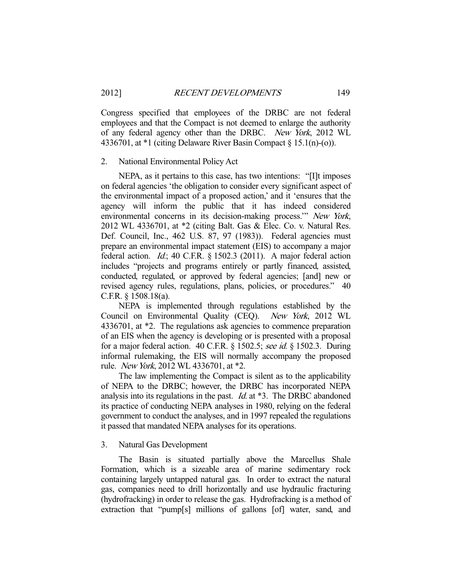Congress specified that employees of the DRBC are not federal employees and that the Compact is not deemed to enlarge the authority of any federal agency other than the DRBC. New York, 2012 WL 4336701, at \*1 (citing Delaware River Basin Compact § 15.1(n)-(o)).

## 2. National Environmental Policy Act

 NEPA, as it pertains to this case, has two intentions: "[I]t imposes on federal agencies 'the obligation to consider every significant aspect of the environmental impact of a proposed action,' and it 'ensures that the agency will inform the public that it has indeed considered environmental concerns in its decision-making process.'" New York, 2012 WL 4336701, at \*2 (citing Balt. Gas & Elec. Co. v. Natural Res. Def. Council, Inc., 462 U.S. 87, 97 (1983)). Federal agencies must prepare an environmental impact statement (EIS) to accompany a major federal action. *Id.*; 40 C.F.R.  $\S$  1502.3 (2011). A major federal action includes "projects and programs entirely or partly financed, assisted, conducted, regulated, or approved by federal agencies; [and] new or revised agency rules, regulations, plans, policies, or procedures." 40 C.F.R. § 1508.18(a).

 NEPA is implemented through regulations established by the Council on Environmental Quality (CEQ). New York, 2012 WL 4336701, at \*2. The regulations ask agencies to commence preparation of an EIS when the agency is developing or is presented with a proposal for a major federal action. 40 C.F.R. § 1502.5; see id. § 1502.3. During informal rulemaking, the EIS will normally accompany the proposed rule. New York, 2012 WL 4336701, at \*2.

 The law implementing the Compact is silent as to the applicability of NEPA to the DRBC; however, the DRBC has incorporated NEPA analysis into its regulations in the past. Id. at \*3. The DRBC abandoned its practice of conducting NEPA analyses in 1980, relying on the federal government to conduct the analyses, and in 1997 repealed the regulations it passed that mandated NEPA analyses for its operations.

## 3. Natural Gas Development

 The Basin is situated partially above the Marcellus Shale Formation, which is a sizeable area of marine sedimentary rock containing largely untapped natural gas. In order to extract the natural gas, companies need to drill horizontally and use hydraulic fracturing (hydrofracking) in order to release the gas. Hydrofracking is a method of extraction that "pump[s] millions of gallons [of] water, sand, and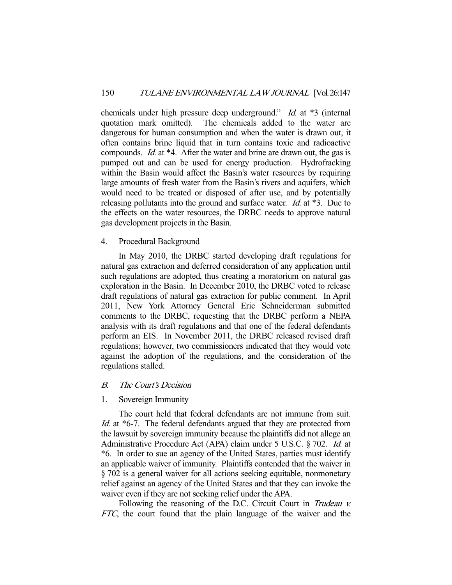chemicals under high pressure deep underground." *Id.* at \*3 (internal quotation mark omitted). The chemicals added to the water are dangerous for human consumption and when the water is drawn out, it often contains brine liquid that in turn contains toxic and radioactive compounds. Id. at \*4. After the water and brine are drawn out, the gas is pumped out and can be used for energy production. Hydrofracking within the Basin would affect the Basin's water resources by requiring large amounts of fresh water from the Basin's rivers and aquifers, which would need to be treated or disposed of after use, and by potentially releasing pollutants into the ground and surface water. *Id.* at \*3. Due to the effects on the water resources, the DRBC needs to approve natural gas development projects in the Basin.

# 4. Procedural Background

 In May 2010, the DRBC started developing draft regulations for natural gas extraction and deferred consideration of any application until such regulations are adopted, thus creating a moratorium on natural gas exploration in the Basin. In December 2010, the DRBC voted to release draft regulations of natural gas extraction for public comment. In April 2011, New York Attorney General Eric Schneiderman submitted comments to the DRBC, requesting that the DRBC perform a NEPA analysis with its draft regulations and that one of the federal defendants perform an EIS. In November 2011, the DRBC released revised draft regulations; however, two commissioners indicated that they would vote against the adoption of the regulations, and the consideration of the regulations stalled.

## B. The Court's Decision

## 1. Sovereign Immunity

 The court held that federal defendants are not immune from suit. Id. at \*6-7. The federal defendants argued that they are protected from the lawsuit by sovereign immunity because the plaintiffs did not allege an Administrative Procedure Act (APA) claim under 5 U.S.C. § 702. Id. at \*6. In order to sue an agency of the United States, parties must identify an applicable waiver of immunity. Plaintiffs contended that the waiver in § 702 is a general waiver for all actions seeking equitable, nonmonetary relief against an agency of the United States and that they can invoke the waiver even if they are not seeking relief under the APA.

Following the reasoning of the D.C. Circuit Court in Trudeau v. FTC, the court found that the plain language of the waiver and the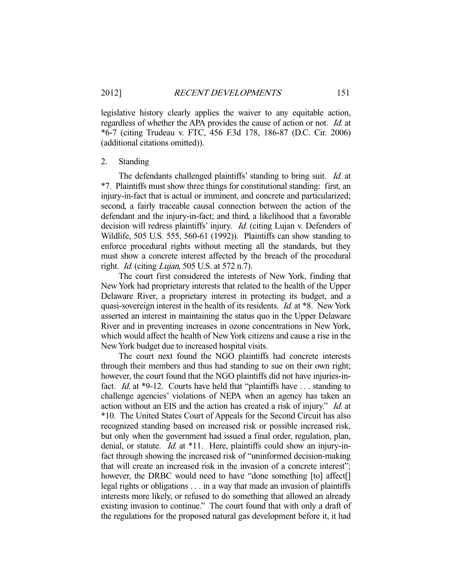legislative history clearly applies the waiver to any equitable action, regardless of whether the APA provides the cause of action or not. Id. at \*6-7 (citing Trudeau v. FTC, 456 F.3d 178, 186-87 (D.C. Cir. 2006) (additional citations omitted)).

## 2. Standing

The defendants challenged plaintiffs' standing to bring suit. *Id.* at \*7. Plaintiffs must show three things for constitutional standing: first, an injury-in-fact that is actual or imminent, and concrete and particularized; second, a fairly traceable causal connection between the action of the defendant and the injury-in-fact; and third, a likelihood that a favorable decision will redress plaintiffs' injury. Id. (citing Lujan v. Defenders of Wildlife, 505 U.S. 555, 560-61 (1992)). Plaintiffs can show standing to enforce procedural rights without meeting all the standards, but they must show a concrete interest affected by the breach of the procedural right. Id. (citing Lujan, 505 U.S. at 572 n.7).

 The court first considered the interests of New York, finding that New York had proprietary interests that related to the health of the Upper Delaware River, a proprietary interest in protecting its budget, and a quasi-sovereign interest in the health of its residents. Id. at \*8. New York asserted an interest in maintaining the status quo in the Upper Delaware River and in preventing increases in ozone concentrations in New York, which would affect the health of New York citizens and cause a rise in the New York budget due to increased hospital visits.

 The court next found the NGO plaintiffs had concrete interests through their members and thus had standing to sue on their own right; however, the court found that the NGO plaintiffs did not have injuries-infact. *Id.* at \*9-12. Courts have held that "plaintiffs have . . . standing to challenge agencies' violations of NEPA when an agency has taken an action without an EIS and the action has created a risk of injury." Id. at \*10. The United States Court of Appeals for the Second Circuit has also recognized standing based on increased risk or possible increased risk, but only when the government had issued a final order, regulation, plan, denial, or statute. *Id.* at \*11. Here, plaintiffs could show an injury-infact through showing the increased risk of "uninformed decision-making that will create an increased risk in the invasion of a concrete interest"; however, the DRBC would need to have "done something [to] affect[] legal rights or obligations . . . in a way that made an invasion of plaintiffs interests more likely, or refused to do something that allowed an already existing invasion to continue." The court found that with only a draft of the regulations for the proposed natural gas development before it, it had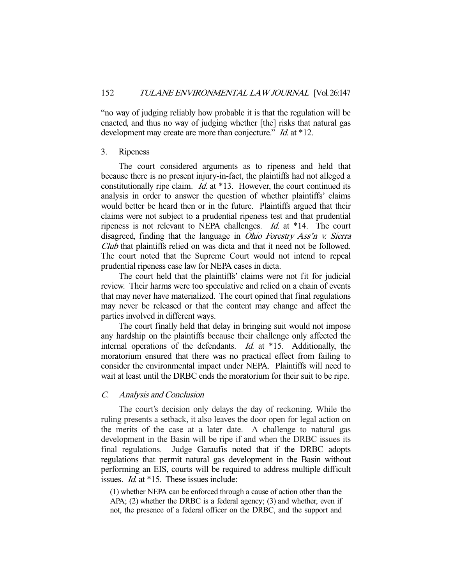"no way of judging reliably how probable it is that the regulation will be enacted, and thus no way of judging whether [the] risks that natural gas development may create are more than conjecture." *Id.* at \*12.

## 3. Ripeness

 The court considered arguments as to ripeness and held that because there is no present injury-in-fact, the plaintiffs had not alleged a constitutionally ripe claim. *Id.* at \*13. However, the court continued its analysis in order to answer the question of whether plaintiffs' claims would better be heard then or in the future. Plaintiffs argued that their claims were not subject to a prudential ripeness test and that prudential ripeness is not relevant to NEPA challenges. Id. at \*14. The court disagreed, finding that the language in *Ohio Forestry Ass'n v. Sierra* Club that plaintiffs relied on was dicta and that it need not be followed. The court noted that the Supreme Court would not intend to repeal prudential ripeness case law for NEPA cases in dicta.

 The court held that the plaintiffs' claims were not fit for judicial review. Their harms were too speculative and relied on a chain of events that may never have materialized. The court opined that final regulations may never be released or that the content may change and affect the parties involved in different ways.

 The court finally held that delay in bringing suit would not impose any hardship on the plaintiffs because their challenge only affected the internal operations of the defendants. *Id.* at \*15. Additionally, the moratorium ensured that there was no practical effect from failing to consider the environmental impact under NEPA. Plaintiffs will need to wait at least until the DRBC ends the moratorium for their suit to be ripe.

# C. Analysis and Conclusion

 The court's decision only delays the day of reckoning. While the ruling presents a setback, it also leaves the door open for legal action on the merits of the case at a later date. A challenge to natural gas development in the Basin will be ripe if and when the DRBC issues its final regulations. Judge Garaufis noted that if the DRBC adopts regulations that permit natural gas development in the Basin without performing an EIS, courts will be required to address multiple difficult issues. Id. at \*15. These issues include:

(1) whether NEPA can be enforced through a cause of action other than the APA; (2) whether the DRBC is a federal agency; (3) and whether, even if not, the presence of a federal officer on the DRBC, and the support and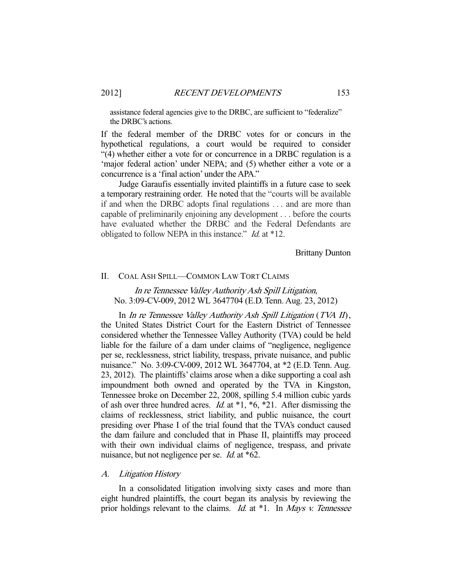assistance federal agencies give to the DRBC, are sufficient to "federalize" the DRBC's actions.

If the federal member of the DRBC votes for or concurs in the hypothetical regulations, a court would be required to consider "(4) whether either a vote for or concurrence in a DRBC regulation is a 'major federal action' under NEPA; and (5) whether either a vote or a concurrence is a 'final action' under the APA."

 Judge Garaufis essentially invited plaintiffs in a future case to seek a temporary restraining order. He noted that the "courts will be available if and when the DRBC adopts final regulations . . . and are more than capable of preliminarily enjoining any development . . . before the courts have evaluated whether the DRBC and the Federal Defendants are obligated to follow NEPA in this instance." *Id.* at \*12.

Brittany Dunton

#### II. COAL ASH SPILL—COMMON LAW TORT CLAIMS

In re Tennessee Valley Authority Ash Spill Litigation, No. 3:09-CV-009, 2012 WL 3647704 (E.D. Tenn. Aug. 23, 2012)

 In In re Tennessee Valley Authority Ash Spill Litigation (TVA II), the United States District Court for the Eastern District of Tennessee considered whether the Tennessee Valley Authority (TVA) could be held liable for the failure of a dam under claims of "negligence, negligence per se, recklessness, strict liability, trespass, private nuisance, and public nuisance." No. 3:09-CV-009, 2012 WL 3647704, at \*2 (E.D. Tenn. Aug. 23, 2012). The plaintiffs' claims arose when a dike supporting a coal ash impoundment both owned and operated by the TVA in Kingston, Tennessee broke on December 22, 2008, spilling 5.4 million cubic yards of ash over three hundred acres. *Id.* at  $*1, *6, *21$ . After dismissing the claims of recklessness, strict liability, and public nuisance, the court presiding over Phase I of the trial found that the TVA's conduct caused the dam failure and concluded that in Phase II, plaintiffs may proceed with their own individual claims of negligence, trespass, and private nuisance, but not negligence per se. *Id.* at \*62.

#### A. Litigation History

 In a consolidated litigation involving sixty cases and more than eight hundred plaintiffs, the court began its analysis by reviewing the prior holdings relevant to the claims. *Id.* at  $*1$ . In *Mays v. Tennessee*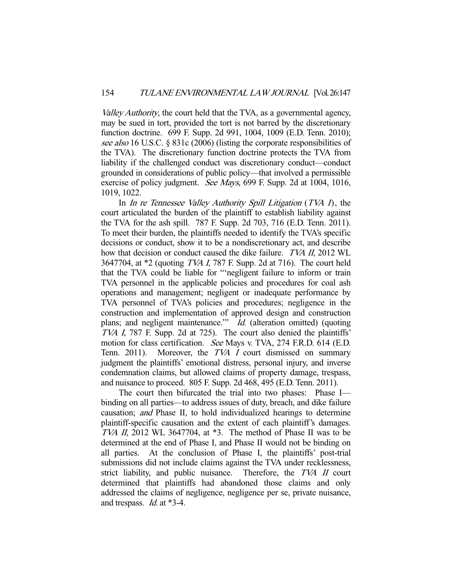Valley Authority, the court held that the TVA, as a governmental agency, may be sued in tort, provided the tort is not barred by the discretionary function doctrine. 699 F. Supp. 2d 991, 1004, 1009 (E.D. Tenn. 2010); see also 16 U.S.C. § 831c (2006) (listing the corporate responsibilities of the TVA). The discretionary function doctrine protects the TVA from liability if the challenged conduct was discretionary conduct—conduct grounded in considerations of public policy—that involved a permissible exercise of policy judgment. See Mays, 699 F. Supp. 2d at 1004, 1016, 1019, 1022.

In *In re Tennessee Valley Authority Spill Litigation* (*TVA I*), the court articulated the burden of the plaintiff to establish liability against the TVA for the ash spill. 787 F. Supp. 2d 703, 716 (E.D. Tenn. 2011). To meet their burden, the plaintiffs needed to identify the TVA's specific decisions or conduct, show it to be a nondiscretionary act, and describe how that decision or conduct caused the dike failure. *TVA II*, 2012 WL 3647704, at \*2 (quoting TVA I, 787 F. Supp. 2d at 716). The court held that the TVA could be liable for "'negligent failure to inform or train TVA personnel in the applicable policies and procedures for coal ash operations and management; negligent or inadequate performance by TVA personnel of TVA's policies and procedures; negligence in the construction and implementation of approved design and construction plans; and negligent maintenance." *Id.* (alteration omitted) (quoting TVA I, 787 F. Supp. 2d at 725). The court also denied the plaintiffs' motion for class certification. See Mays v. TVA, 274 F.R.D. 614 (E.D. Tenn. 2011). Moreover, the TVA I court dismissed on summary judgment the plaintiffs' emotional distress, personal injury, and inverse condemnation claims, but allowed claims of property damage, trespass, and nuisance to proceed. 805 F. Supp. 2d 468, 495 (E.D. Tenn. 2011).

 The court then bifurcated the trial into two phases: Phase I binding on all parties—to address issues of duty, breach, and dike failure causation; and Phase II, to hold individualized hearings to determine plaintiff-specific causation and the extent of each plaintiff's damages. TVA II, 2012 WL 3647704, at \*3. The method of Phase II was to be determined at the end of Phase I, and Phase II would not be binding on all parties. At the conclusion of Phase I, the plaintiffs' post-trial submissions did not include claims against the TVA under recklessness, strict liability, and public nuisance. Therefore, the TVA II court determined that plaintiffs had abandoned those claims and only addressed the claims of negligence, negligence per se, private nuisance, and trespass. Id. at \*3-4.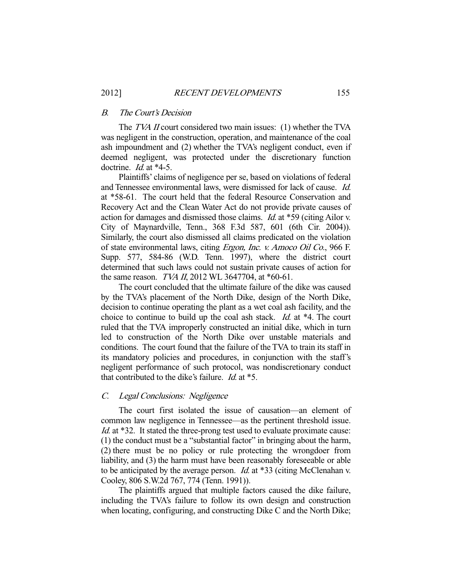#### B. The Court's Decision

The *TVA II* court considered two main issues: (1) whether the TVA was negligent in the construction, operation, and maintenance of the coal ash impoundment and (2) whether the TVA's negligent conduct, even if deemed negligent, was protected under the discretionary function doctrine. *Id.* at \*4-5.

 Plaintiffs' claims of negligence per se, based on violations of federal and Tennessee environmental laws, were dismissed for lack of cause. Id. at \*58-61. The court held that the federal Resource Conservation and Recovery Act and the Clean Water Act do not provide private causes of action for damages and dismissed those claims. Id. at \*59 (citing Ailor v. City of Maynardville, Tenn., 368 F.3d 587, 601 (6th Cir. 2004)). Similarly, the court also dismissed all claims predicated on the violation of state environmental laws, citing Ergon, Inc. v. Amoco Oil Co., 966 F. Supp. 577, 584-86 (W.D. Tenn. 1997), where the district court determined that such laws could not sustain private causes of action for the same reason. *TVA II*, 2012 WL 3647704, at  $*60-61$ .

 The court concluded that the ultimate failure of the dike was caused by the TVA's placement of the North Dike, design of the North Dike, decision to continue operating the plant as a wet coal ash facility, and the choice to continue to build up the coal ash stack. Id. at \*4. The court ruled that the TVA improperly constructed an initial dike, which in turn led to construction of the North Dike over unstable materials and conditions. The court found that the failure of the TVA to train its staff in its mandatory policies and procedures, in conjunction with the staff's negligent performance of such protocol, was nondiscretionary conduct that contributed to the dike's failure. Id. at \*5.

#### C. Legal Conclusions: Negligence

 The court first isolated the issue of causation—an element of common law negligence in Tennessee—as the pertinent threshold issue. Id. at \*32. It stated the three-prong test used to evaluate proximate cause: (1) the conduct must be a "substantial factor" in bringing about the harm, (2) there must be no policy or rule protecting the wrongdoer from liability, and (3) the harm must have been reasonably foreseeable or able to be anticipated by the average person. *Id.* at  $*33$  (citing McClenahan v. Cooley, 806 S.W.2d 767, 774 (Tenn. 1991)).

 The plaintiffs argued that multiple factors caused the dike failure, including the TVA's failure to follow its own design and construction when locating, configuring, and constructing Dike C and the North Dike;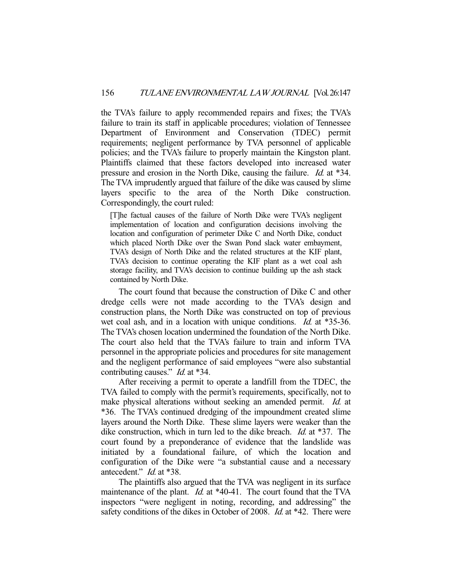the TVA's failure to apply recommended repairs and fixes; the TVA's failure to train its staff in applicable procedures; violation of Tennessee Department of Environment and Conservation (TDEC) permit requirements; negligent performance by TVA personnel of applicable policies; and the TVA's failure to properly maintain the Kingston plant. Plaintiffs claimed that these factors developed into increased water pressure and erosion in the North Dike, causing the failure. Id. at \*34. The TVA imprudently argued that failure of the dike was caused by slime layers specific to the area of the North Dike construction. Correspondingly, the court ruled:

[T]he factual causes of the failure of North Dike were TVA's negligent implementation of location and configuration decisions involving the location and configuration of perimeter Dike C and North Dike, conduct which placed North Dike over the Swan Pond slack water embayment, TVA's design of North Dike and the related structures at the KIF plant, TVA's decision to continue operating the KIF plant as a wet coal ash storage facility, and TVA's decision to continue building up the ash stack contained by North Dike.

 The court found that because the construction of Dike C and other dredge cells were not made according to the TVA's design and construction plans, the North Dike was constructed on top of previous wet coal ash, and in a location with unique conditions. *Id.* at \*35-36. The TVA's chosen location undermined the foundation of the North Dike. The court also held that the TVA's failure to train and inform TVA personnel in the appropriate policies and procedures for site management and the negligent performance of said employees "were also substantial contributing causes." *Id.* at \*34.

 After receiving a permit to operate a landfill from the TDEC, the TVA failed to comply with the permit's requirements, specifically, not to make physical alterations without seeking an amended permit. Id. at \*36. The TVA's continued dredging of the impoundment created slime layers around the North Dike. These slime layers were weaker than the dike construction, which in turn led to the dike breach. *Id.* at \*37. The court found by a preponderance of evidence that the landslide was initiated by a foundational failure, of which the location and configuration of the Dike were "a substantial cause and a necessary antecedent." Id. at \*38.

 The plaintiffs also argued that the TVA was negligent in its surface maintenance of the plant. *Id.* at \*40-41. The court found that the TVA inspectors "were negligent in noting, recording, and addressing" the safety conditions of the dikes in October of 2008. Id. at \*42. There were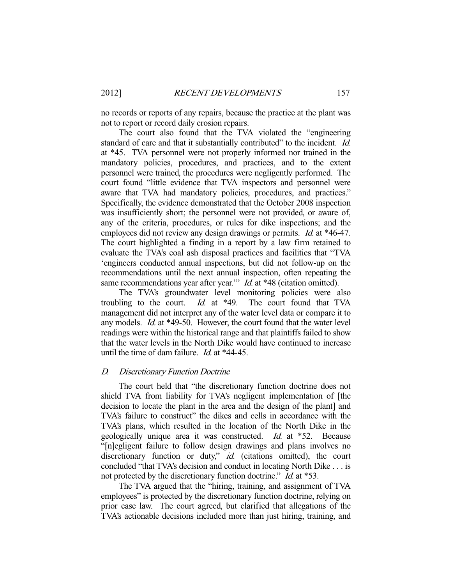no records or reports of any repairs, because the practice at the plant was not to report or record daily erosion repairs.

 The court also found that the TVA violated the "engineering standard of care and that it substantially contributed" to the incident. Id. at \*45. TVA personnel were not properly informed nor trained in the mandatory policies, procedures, and practices, and to the extent personnel were trained, the procedures were negligently performed. The court found "little evidence that TVA inspectors and personnel were aware that TVA had mandatory policies, procedures, and practices." Specifically, the evidence demonstrated that the October 2008 inspection was insufficiently short; the personnel were not provided, or aware of, any of the criteria, procedures, or rules for dike inspections; and the employees did not review any design drawings or permits. *Id.* at \*46-47. The court highlighted a finding in a report by a law firm retained to evaluate the TVA's coal ash disposal practices and facilities that "TVA 'engineers conducted annual inspections, but did not follow-up on the recommendations until the next annual inspection, often repeating the same recommendations year after year." *Id.* at \*48 (citation omitted).

 The TVA's groundwater level monitoring policies were also troubling to the court. Id. at  $*49$ . The court found that TVA management did not interpret any of the water level data or compare it to any models. Id. at \*49-50. However, the court found that the water level readings were within the historical range and that plaintiffs failed to show that the water levels in the North Dike would have continued to increase until the time of dam failure. *Id.* at \*44-45.

## D. Discretionary Function Doctrine

 The court held that "the discretionary function doctrine does not shield TVA from liability for TVA's negligent implementation of [the decision to locate the plant in the area and the design of the plant] and TVA's failure to construct" the dikes and cells in accordance with the TVA's plans, which resulted in the location of the North Dike in the geologically unique area it was constructed. Id. at \*52. Because "[n]egligent failure to follow design drawings and plans involves no discretionary function or duty," id. (citations omitted), the court concluded "that TVA's decision and conduct in locating North Dike . . . is not protected by the discretionary function doctrine." *Id.* at \*53.

 The TVA argued that the "hiring, training, and assignment of TVA employees" is protected by the discretionary function doctrine, relying on prior case law. The court agreed, but clarified that allegations of the TVA's actionable decisions included more than just hiring, training, and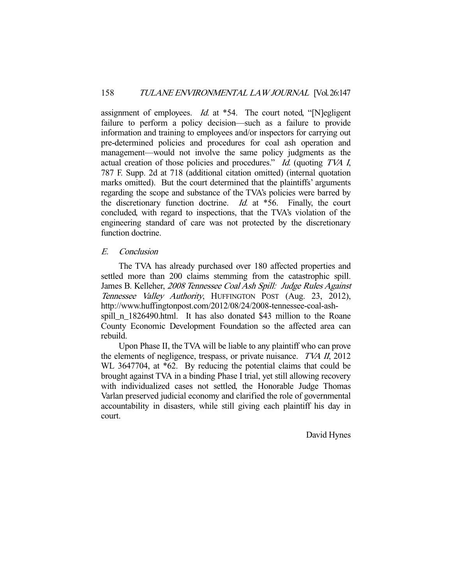assignment of employees. *Id.* at \*54. The court noted, "[N]egligent failure to perform a policy decision—such as a failure to provide information and training to employees and/or inspectors for carrying out pre-determined policies and procedures for coal ash operation and management—would not involve the same policy judgments as the actual creation of those policies and procedures." Id. (quoting TVA I, 787 F. Supp. 2d at 718 (additional citation omitted) (internal quotation marks omitted). But the court determined that the plaintiffs' arguments regarding the scope and substance of the TVA's policies were barred by the discretionary function doctrine. Id. at \*56. Finally, the court concluded, with regard to inspections, that the TVA's violation of the engineering standard of care was not protected by the discretionary function doctrine.

# E. Conclusion

 The TVA has already purchased over 180 affected properties and settled more than 200 claims stemming from the catastrophic spill. James B. Kelleher, 2008 Tennessee Coal Ash Spill: Judge Rules Against Tennessee Valley Authority, HUFFINGTON POST (Aug. 23, 2012), http://www.huffingtonpost.com/2012/08/24/2008-tennessee-coal-ashspill\_n\_1826490.html. It has also donated \$43 million to the Roane County Economic Development Foundation so the affected area can rebuild.

 Upon Phase II, the TVA will be liable to any plaintiff who can prove the elements of negligence, trespass, or private nuisance. TVA II, 2012 WL 3647704, at \*62. By reducing the potential claims that could be brought against TVA in a binding Phase I trial, yet still allowing recovery with individualized cases not settled, the Honorable Judge Thomas Varlan preserved judicial economy and clarified the role of governmental accountability in disasters, while still giving each plaintiff his day in court.

David Hynes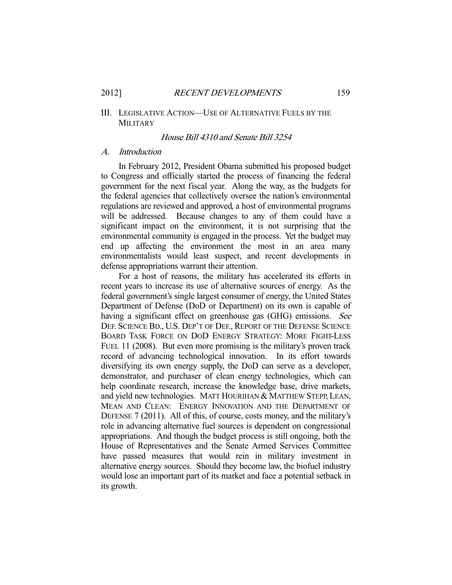## III. LEGISLATIVE ACTION—USE OF ALTERNATIVE FUELS BY THE MILITARY

#### House Bill 4310 and Senate Bill 3254

#### A. Introduction

 In February 2012, President Obama submitted his proposed budget to Congress and officially started the process of financing the federal government for the next fiscal year. Along the way, as the budgets for the federal agencies that collectively oversee the nation's environmental regulations are reviewed and approved, a host of environmental programs will be addressed. Because changes to any of them could have a significant impact on the environment, it is not surprising that the environmental community is engaged in the process. Yet the budget may end up affecting the environment the most in an area many environmentalists would least suspect, and recent developments in defense appropriations warrant their attention.

 For a host of reasons, the military has accelerated its efforts in recent years to increase its use of alternative sources of energy. As the federal government's single largest consumer of energy, the United States Department of Defense (DoD or Department) on its own is capable of having a significant effect on greenhouse gas (GHG) emissions. See DEF. SCIENCE BD., U.S. DEP'T OF DEF., REPORT OF THE DEFENSE SCIENCE BOARD TASK FORCE ON DOD ENERGY STRATEGY: MORE FIGHT-LESS FUEL 11 (2008). But even more promising is the military's proven track record of advancing technological innovation. In its effort towards diversifying its own energy supply, the DoD can serve as a developer, demonstrator, and purchaser of clean energy technologies, which can help coordinate research, increase the knowledge base, drive markets, and yield new technologies. MATT HOURIHAN & MATTHEW STEPP, LEAN, MEAN AND CLEAN: ENERGY INNOVATION AND THE DEPARTMENT OF DEFENSE 7 (2011). All of this, of course, costs money, and the military's role in advancing alternative fuel sources is dependent on congressional appropriations. And though the budget process is still ongoing, both the House of Representatives and the Senate Armed Services Committee have passed measures that would rein in military investment in alternative energy sources. Should they become law, the biofuel industry would lose an important part of its market and face a potential setback in its growth.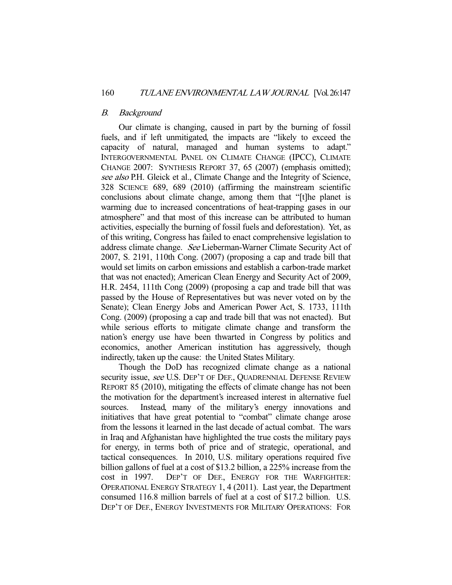## B. Background

 Our climate is changing, caused in part by the burning of fossil fuels, and if left unmitigated, the impacts are "likely to exceed the capacity of natural, managed and human systems to adapt." INTERGOVERNMENTAL PANEL ON CLIMATE CHANGE (IPCC), CLIMATE CHANGE 2007: SYNTHESIS REPORT 37, 65 (2007) (emphasis omitted); see also P.H. Gleick et al., Climate Change and the Integrity of Science, 328 SCIENCE 689, 689 (2010) (affirming the mainstream scientific conclusions about climate change, among them that "[t]he planet is warming due to increased concentrations of heat-trapping gases in our atmosphere" and that most of this increase can be attributed to human activities, especially the burning of fossil fuels and deforestation). Yet, as of this writing, Congress has failed to enact comprehensive legislation to address climate change. See Lieberman-Warner Climate Security Act of 2007, S. 2191, 110th Cong. (2007) (proposing a cap and trade bill that would set limits on carbon emissions and establish a carbon-trade market that was not enacted); American Clean Energy and Security Act of 2009, H.R. 2454, 111th Cong (2009) (proposing a cap and trade bill that was passed by the House of Representatives but was never voted on by the Senate); Clean Energy Jobs and American Power Act, S. 1733, 111th Cong. (2009) (proposing a cap and trade bill that was not enacted). But while serious efforts to mitigate climate change and transform the nation's energy use have been thwarted in Congress by politics and economics, another American institution has aggressively, though indirectly, taken up the cause: the United States Military.

 Though the DoD has recognized climate change as a national security issue, see U.S. DEP'T OF DEF., QUADRENNIAL DEFENSE REVIEW REPORT 85 (2010), mitigating the effects of climate change has not been the motivation for the department's increased interest in alternative fuel sources. Instead, many of the military's energy innovations and initiatives that have great potential to "combat" climate change arose from the lessons it learned in the last decade of actual combat. The wars in Iraq and Afghanistan have highlighted the true costs the military pays for energy, in terms both of price and of strategic, operational, and tactical consequences. In 2010, U.S. military operations required five billion gallons of fuel at a cost of \$13.2 billion, a 225% increase from the cost in 1997. DEP'T OF DEF., ENERGY FOR THE WARFIGHTER: OPERATIONAL ENERGY STRATEGY 1, 4 (2011). Last year, the Department consumed 116.8 million barrels of fuel at a cost of \$17.2 billion. U.S. DEP'T OF DEF., ENERGY INVESTMENTS FOR MILITARY OPERATIONS: FOR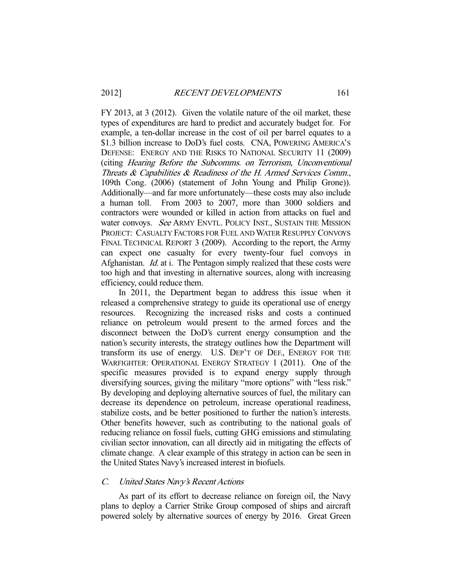FY 2013, at 3 (2012). Given the volatile nature of the oil market, these types of expenditures are hard to predict and accurately budget for. For example, a ten-dollar increase in the cost of oil per barrel equates to a \$1.3 billion increase to DoD's fuel costs. CNA, POWERING AMERICA'S DEFENSE: ENERGY AND THE RISKS TO NATIONAL SECURITY 11 (2009) (citing Hearing Before the Subcomms. on Terrorism, Unconventional Threats & Capabilities & Readiness of the H. Armed Services Comm., 109th Cong. (2006) (statement of John Young and Philip Grone)). Additionally—and far more unfortunately—these costs may also include a human toll. From 2003 to 2007, more than 3000 soldiers and contractors were wounded or killed in action from attacks on fuel and water convoys. See ARMY ENVTL. POLICY INST., SUSTAIN THE MISSION PROJECT: CASUALTY FACTORS FOR FUEL AND WATER RESUPPLY CONVOYS FINAL TECHNICAL REPORT 3 (2009). According to the report, the Army can expect one casualty for every twenty-four fuel convoys in Afghanistan. Id. at i. The Pentagon simply realized that these costs were too high and that investing in alternative sources, along with increasing efficiency, could reduce them.

 In 2011, the Department began to address this issue when it released a comprehensive strategy to guide its operational use of energy resources. Recognizing the increased risks and costs a continued reliance on petroleum would present to the armed forces and the disconnect between the DoD's current energy consumption and the nation's security interests, the strategy outlines how the Department will transform its use of energy. U.S. DEP'T OF DEF., ENERGY FOR THE WARFIGHTER: OPERATIONAL ENERGY STRATEGY 1 (2011). One of the specific measures provided is to expand energy supply through diversifying sources, giving the military "more options" with "less risk." By developing and deploying alternative sources of fuel, the military can decrease its dependence on petroleum, increase operational readiness, stabilize costs, and be better positioned to further the nation's interests. Other benefits however, such as contributing to the national goals of reducing reliance on fossil fuels, cutting GHG emissions and stimulating civilian sector innovation, can all directly aid in mitigating the effects of climate change. A clear example of this strategy in action can be seen in the United States Navy's increased interest in biofuels.

## C. United States Navy's Recent Actions

 As part of its effort to decrease reliance on foreign oil, the Navy plans to deploy a Carrier Strike Group composed of ships and aircraft powered solely by alternative sources of energy by 2016. Great Green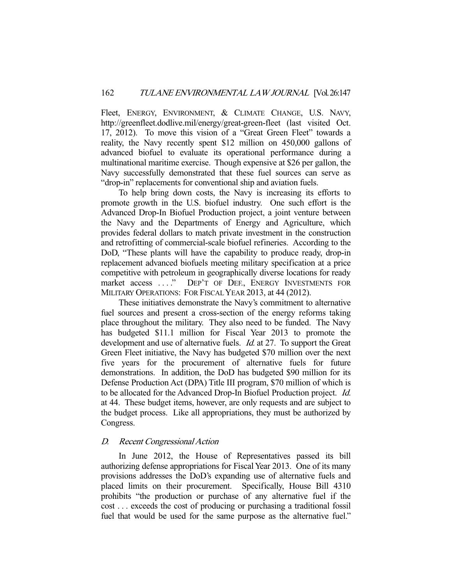Fleet, ENERGY, ENVIRONMENT, & CLIMATE CHANGE, U.S. NAVY, http://greenfleet.dodlive.mil/energy/great-green-fleet (last visited Oct. 17, 2012). To move this vision of a "Great Green Fleet" towards a reality, the Navy recently spent \$12 million on 450,000 gallons of advanced biofuel to evaluate its operational performance during a multinational maritime exercise. Though expensive at \$26 per gallon, the Navy successfully demonstrated that these fuel sources can serve as "drop-in" replacements for conventional ship and aviation fuels.

 To help bring down costs, the Navy is increasing its efforts to promote growth in the U.S. biofuel industry. One such effort is the Advanced Drop-In Biofuel Production project, a joint venture between the Navy and the Departments of Energy and Agriculture, which provides federal dollars to match private investment in the construction and retrofitting of commercial-scale biofuel refineries. According to the DoD, "These plants will have the capability to produce ready, drop-in replacement advanced biofuels meeting military specification at a price competitive with petroleum in geographically diverse locations for ready market access . . . ." DEP'T OF DEF., ENERGY INVESTMENTS FOR MILITARY OPERATIONS: FOR FISCAL YEAR 2013, at 44 (2012).

 These initiatives demonstrate the Navy's commitment to alternative fuel sources and present a cross-section of the energy reforms taking place throughout the military. They also need to be funded. The Navy has budgeted \$11.1 million for Fiscal Year 2013 to promote the development and use of alternative fuels. *Id.* at 27. To support the Great Green Fleet initiative, the Navy has budgeted \$70 million over the next five years for the procurement of alternative fuels for future demonstrations. In addition, the DoD has budgeted \$90 million for its Defense Production Act (DPA) Title III program, \$70 million of which is to be allocated for the Advanced Drop-In Biofuel Production project. Id. at 44. These budget items, however, are only requests and are subject to the budget process. Like all appropriations, they must be authorized by Congress.

## D. Recent Congressional Action

 In June 2012, the House of Representatives passed its bill authorizing defense appropriations for Fiscal Year 2013. One of its many provisions addresses the DoD's expanding use of alternative fuels and placed limits on their procurement. Specifically, House Bill 4310 prohibits "the production or purchase of any alternative fuel if the cost . . . exceeds the cost of producing or purchasing a traditional fossil fuel that would be used for the same purpose as the alternative fuel."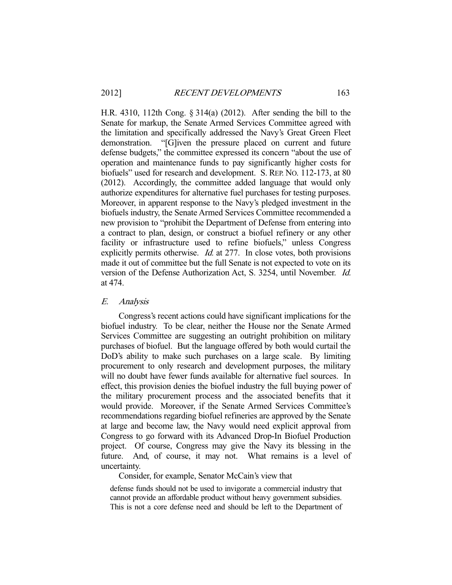H.R. 4310, 112th Cong. § 314(a) (2012). After sending the bill to the Senate for markup, the Senate Armed Services Committee agreed with the limitation and specifically addressed the Navy's Great Green Fleet demonstration. "[G]iven the pressure placed on current and future defense budgets," the committee expressed its concern "about the use of operation and maintenance funds to pay significantly higher costs for biofuels" used for research and development. S. REP. NO. 112-173, at 80 (2012). Accordingly, the committee added language that would only authorize expenditures for alternative fuel purchases for testing purposes. Moreover, in apparent response to the Navy's pledged investment in the biofuels industry, the Senate Armed Services Committee recommended a new provision to "prohibit the Department of Defense from entering into a contract to plan, design, or construct a biofuel refinery or any other facility or infrastructure used to refine biofuels," unless Congress explicitly permits otherwise. Id. at 277. In close votes, both provisions made it out of committee but the full Senate is not expected to vote on its version of the Defense Authorization Act, S. 3254, until November. Id. at 474.

#### E. Analysis

 Congress's recent actions could have significant implications for the biofuel industry. To be clear, neither the House nor the Senate Armed Services Committee are suggesting an outright prohibition on military purchases of biofuel. But the language offered by both would curtail the DoD's ability to make such purchases on a large scale. By limiting procurement to only research and development purposes, the military will no doubt have fewer funds available for alternative fuel sources. In effect, this provision denies the biofuel industry the full buying power of the military procurement process and the associated benefits that it would provide. Moreover, if the Senate Armed Services Committee's recommendations regarding biofuel refineries are approved by the Senate at large and become law, the Navy would need explicit approval from Congress to go forward with its Advanced Drop-In Biofuel Production project. Of course, Congress may give the Navy its blessing in the future. And, of course, it may not. What remains is a level of uncertainty.

Consider, for example, Senator McCain's view that

defense funds should not be used to invigorate a commercial industry that cannot provide an affordable product without heavy government subsidies. This is not a core defense need and should be left to the Department of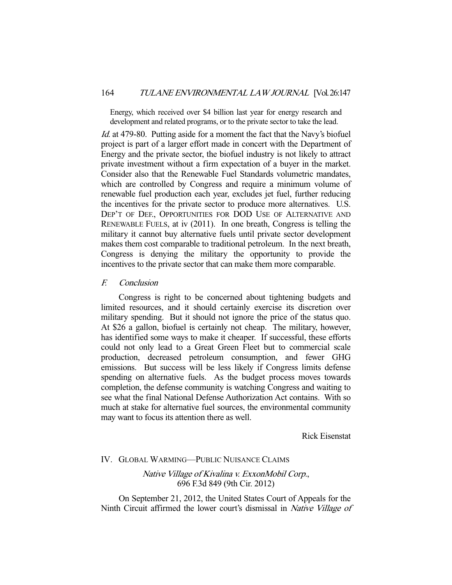Energy, which received over \$4 billion last year for energy research and development and related programs, or to the private sector to take the lead.

Id. at 479-80. Putting aside for a moment the fact that the Navy's biofuel project is part of a larger effort made in concert with the Department of Energy and the private sector, the biofuel industry is not likely to attract private investment without a firm expectation of a buyer in the market. Consider also that the Renewable Fuel Standards volumetric mandates, which are controlled by Congress and require a minimum volume of renewable fuel production each year, excludes jet fuel, further reducing the incentives for the private sector to produce more alternatives. U.S. DEP'T OF DEF., OPPORTUNITIES FOR DOD USE OF ALTERNATIVE AND RENEWABLE FUELS, at iv (2011). In one breath, Congress is telling the military it cannot buy alternative fuels until private sector development makes them cost comparable to traditional petroleum. In the next breath, Congress is denying the military the opportunity to provide the incentives to the private sector that can make them more comparable.

F. Conclusion

 Congress is right to be concerned about tightening budgets and limited resources, and it should certainly exercise its discretion over military spending. But it should not ignore the price of the status quo. At \$26 a gallon, biofuel is certainly not cheap. The military, however, has identified some ways to make it cheaper. If successful, these efforts could not only lead to a Great Green Fleet but to commercial scale production, decreased petroleum consumption, and fewer GHG emissions. But success will be less likely if Congress limits defense spending on alternative fuels. As the budget process moves towards completion, the defense community is watching Congress and waiting to see what the final National Defense Authorization Act contains. With so much at stake for alternative fuel sources, the environmental community may want to focus its attention there as well.

Rick Eisenstat

## IV. GLOBAL WARMING—PUBLIC NUISANCE CLAIMS

# Native Village of Kivalina v. ExxonMobil Corp., 696 F.3d 849 (9th Cir. 2012)

 On September 21, 2012, the United States Court of Appeals for the Ninth Circuit affirmed the lower court's dismissal in Native Village of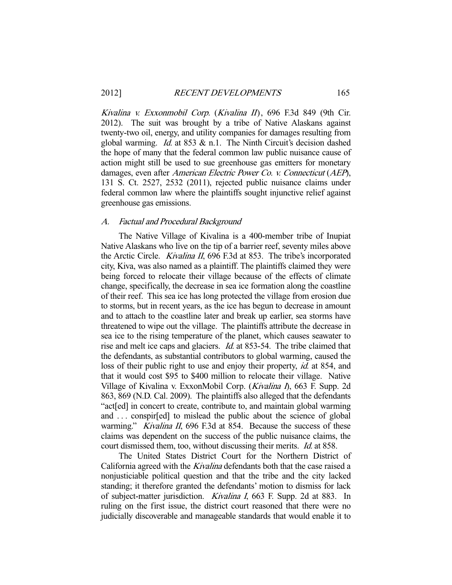Kivalina v. Exxonmobil Corp. (Kivalina II), 696 F.3d 849 (9th Cir. 2012). The suit was brought by a tribe of Native Alaskans against twenty-two oil, energy, and utility companies for damages resulting from global warming. *Id.* at 853  $\&$  n.1. The Ninth Circuit's decision dashed the hope of many that the federal common law public nuisance cause of action might still be used to sue greenhouse gas emitters for monetary damages, even after American Electric Power Co. v. Connecticut (AEP), 131 S. Ct. 2527, 2532 (2011), rejected public nuisance claims under federal common law where the plaintiffs sought injunctive relief against greenhouse gas emissions.

#### A. Factual and Procedural Background

 The Native Village of Kivalina is a 400-member tribe of Inupiat Native Alaskans who live on the tip of a barrier reef, seventy miles above the Arctic Circle. Kivalina II, 696 F.3d at 853. The tribe's incorporated city, Kiva, was also named as a plaintiff. The plaintiffs claimed they were being forced to relocate their village because of the effects of climate change, specifically, the decrease in sea ice formation along the coastline of their reef. This sea ice has long protected the village from erosion due to storms, but in recent years, as the ice has begun to decrease in amount and to attach to the coastline later and break up earlier, sea storms have threatened to wipe out the village. The plaintiffs attribute the decrease in sea ice to the rising temperature of the planet, which causes seawater to rise and melt ice caps and glaciers. Id. at 853-54. The tribe claimed that the defendants, as substantial contributors to global warming, caused the loss of their public right to use and enjoy their property, *id.* at 854, and that it would cost \$95 to \$400 million to relocate their village. Native Village of Kivalina v. ExxonMobil Corp. (Kivalina I), 663 F. Supp. 2d 863, 869 (N.D. Cal. 2009). The plaintiffs also alleged that the defendants "act[ed] in concert to create, contribute to, and maintain global warming and . . . conspir[ed] to mislead the public about the science of global warming." *Kivalina II*, 696 F.3d at 854. Because the success of these claims was dependent on the success of the public nuisance claims, the court dismissed them, too, without discussing their merits. Id. at 858.

 The United States District Court for the Northern District of California agreed with the *Kivalina* defendants both that the case raised a nonjusticiable political question and that the tribe and the city lacked standing; it therefore granted the defendants' motion to dismiss for lack of subject-matter jurisdiction. Kivalina I, 663 F. Supp. 2d at 883. In ruling on the first issue, the district court reasoned that there were no judicially discoverable and manageable standards that would enable it to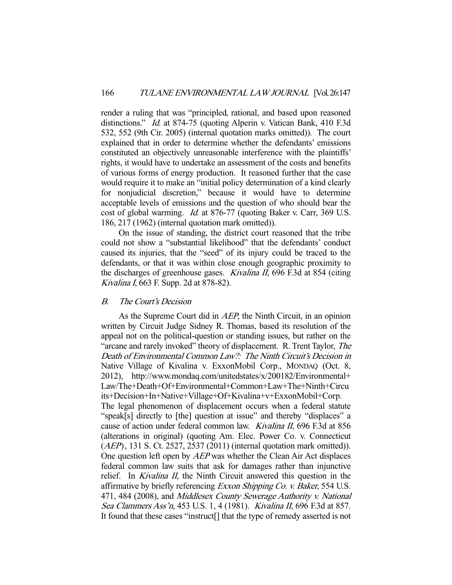render a ruling that was "principled, rational, and based upon reasoned distinctions." Id. at 874-75 (quoting Alperin v. Vatican Bank, 410 F.3d 532, 552 (9th Cir. 2005) (internal quotation marks omitted)). The court explained that in order to determine whether the defendants' emissions constituted an objectively unreasonable interference with the plaintiffs' rights, it would have to undertake an assessment of the costs and benefits of various forms of energy production. It reasoned further that the case would require it to make an "initial policy determination of a kind clearly for nonjudicial discretion," because it would have to determine acceptable levels of emissions and the question of who should bear the cost of global warming. Id. at 876-77 (quoting Baker v. Carr, 369 U.S. 186, 217 (1962) (internal quotation mark omitted)).

 On the issue of standing, the district court reasoned that the tribe could not show a "substantial likelihood" that the defendants' conduct caused its injuries, that the "seed" of its injury could be traced to the defendants, or that it was within close enough geographic proximity to the discharges of greenhouse gases. Kivalina II, 696 F.3d at 854 (citing Kivalina I, 663 F. Supp. 2d at 878-82).

## B. The Court's Decision

As the Supreme Court did in *AEP*, the Ninth Circuit, in an opinion written by Circuit Judge Sidney R. Thomas, based its resolution of the appeal not on the political-question or standing issues, but rather on the "arcane and rarely invoked" theory of displacement. R. Trent Taylor, The Death of Environmental Common Law?: The Ninth Circuit's Decision in Native Village of Kivalina v. ExxonMobil Corp., MONDAQ (Oct. 8, 2012), http://www.mondaq.com/unitedstates/x/200182/Environmental+ Law/The+Death+Of+Environmental+Common+Law+The+Ninth+Circu its+Decision+In+Native+Village+Of+Kivalina+v+ExxonMobil+Corp. The legal phenomenon of displacement occurs when a federal statute "speak[s] directly to [the] question at issue" and thereby "displaces" a cause of action under federal common law. Kivalina II, 696 F.3d at 856 (alterations in original) (quoting Am. Elec. Power Co. v. Connecticut (AEP), 131 S. Ct. 2527, 2537 (2011) (internal quotation mark omitted)). One question left open by AEP was whether the Clean Air Act displaces federal common law suits that ask for damages rather than injunctive relief. In *Kivalina II*, the Ninth Circuit answered this question in the affirmative by briefly referencing Exxon Shipping Co. v. Baker, 554 U.S. 471, 484 (2008), and Middlesex County Sewerage Authority v. National Sea Clammers Ass'n, 453 U.S. 1, 4 (1981). Kivalina II, 696 F.3d at 857. It found that these cases "instruct[] that the type of remedy asserted is not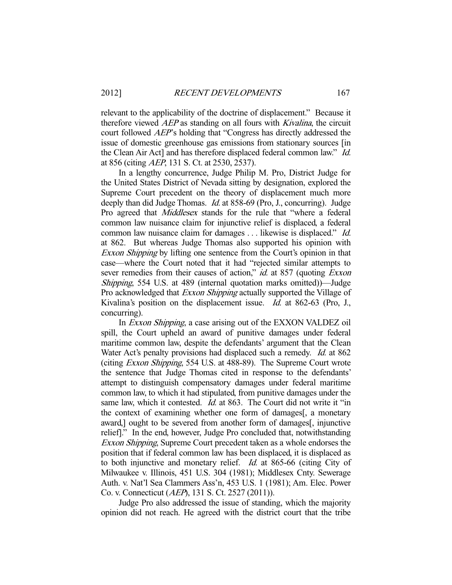relevant to the applicability of the doctrine of displacement." Because it therefore viewed AEP as standing on all fours with Kivalina, the circuit court followed AEP's holding that "Congress has directly addressed the issue of domestic greenhouse gas emissions from stationary sources [in the Clean Air Act] and has therefore displaced federal common law." Id. at 856 (citing AEP, 131 S. Ct. at 2530, 2537).

 In a lengthy concurrence, Judge Philip M. Pro, District Judge for the United States District of Nevada sitting by designation, explored the Supreme Court precedent on the theory of displacement much more deeply than did Judge Thomas. *Id.* at 858-69 (Pro, J., concurring). Judge Pro agreed that *Middlesex* stands for the rule that "where a federal common law nuisance claim for injunctive relief is displaced, a federal common law nuisance claim for damages . . . likewise is displaced." Id. at 862. But whereas Judge Thomas also supported his opinion with Exxon Shipping by lifting one sentence from the Court's opinion in that case—where the Court noted that it had "rejected similar attempts to sever remedies from their causes of action," id. at 857 (quoting Exxon Shipping, 554 U.S. at 489 (internal quotation marks omitted))—Judge Pro acknowledged that *Exxon Shipping* actually supported the Village of Kivalina's position on the displacement issue. Id. at 862-63 (Pro, J., concurring).

In *Exxon Shipping*, a case arising out of the EXXON VALDEZ oil spill, the Court upheld an award of punitive damages under federal maritime common law, despite the defendants' argument that the Clean Water Act's penalty provisions had displaced such a remedy. Id. at 862 (citing Exxon Shipping, 554 U.S. at 488-89). The Supreme Court wrote the sentence that Judge Thomas cited in response to the defendants' attempt to distinguish compensatory damages under federal maritime common law, to which it had stipulated, from punitive damages under the same law, which it contested. *Id.* at 863. The Court did not write it "in the context of examining whether one form of damages[, a monetary award,] ought to be severed from another form of damages[, injunctive relief]." In the end, however, Judge Pro concluded that, notwithstanding Exxon Shipping, Supreme Court precedent taken as a whole endorses the position that if federal common law has been displaced, it is displaced as to both injunctive and monetary relief. Id. at 865-66 (citing City of Milwaukee v. Illinois, 451 U.S. 304 (1981); Middlesex Cnty. Sewerage Auth. v. Nat'l Sea Clammers Ass'n, 453 U.S. 1 (1981); Am. Elec. Power Co. v. Connecticut (AEP), 131 S. Ct. 2527 (2011)).

 Judge Pro also addressed the issue of standing, which the majority opinion did not reach. He agreed with the district court that the tribe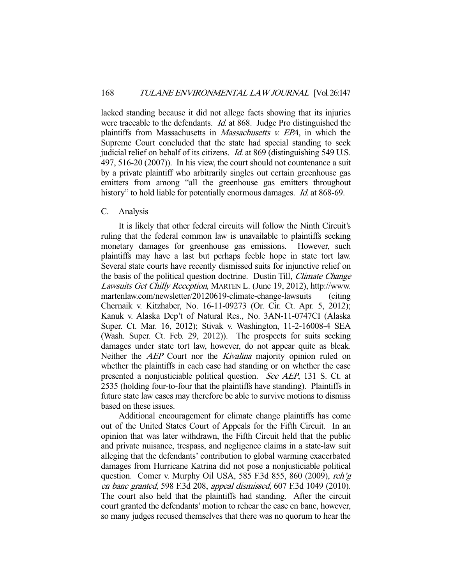lacked standing because it did not allege facts showing that its injuries were traceable to the defendants. *Id.* at 868. Judge Pro distinguished the plaintiffs from Massachusetts in Massachusetts v. EPA, in which the Supreme Court concluded that the state had special standing to seek judicial relief on behalf of its citizens. Id. at 869 (distinguishing 549 U.S. 497, 516-20 (2007)). In his view, the court should not countenance a suit by a private plaintiff who arbitrarily singles out certain greenhouse gas emitters from among "all the greenhouse gas emitters throughout history" to hold liable for potentially enormous damages. *Id.* at 868-69.

# C. Analysis

 It is likely that other federal circuits will follow the Ninth Circuit's ruling that the federal common law is unavailable to plaintiffs seeking monetary damages for greenhouse gas emissions. However, such plaintiffs may have a last but perhaps feeble hope in state tort law. Several state courts have recently dismissed suits for injunctive relief on the basis of the political question doctrine. Dustin Till, Climate Change Lawsuits Get Chilly Reception, MARTEN L. (June 19, 2012), http://www. martenlaw.com/newsletter/20120619-climate-change-lawsuits (citing Chernaik v. Kitzhaber, No. 16-11-09273 (Or. Cir. Ct. Apr. 5, 2012); Kanuk v. Alaska Dep't of Natural Res., No. 3AN-11-0747CI (Alaska Super. Ct. Mar. 16, 2012); Stivak v. Washington, 11-2-16008-4 SEA (Wash. Super. Ct. Feb. 29, 2012)). The prospects for suits seeking damages under state tort law, however, do not appear quite as bleak. Neither the *AEP* Court nor the *Kivalina* majority opinion ruled on whether the plaintiffs in each case had standing or on whether the case presented a nonjusticiable political question. See AEP, 131 S. Ct. at 2535 (holding four-to-four that the plaintiffs have standing). Plaintiffs in future state law cases may therefore be able to survive motions to dismiss based on these issues.

 Additional encouragement for climate change plaintiffs has come out of the United States Court of Appeals for the Fifth Circuit. In an opinion that was later withdrawn, the Fifth Circuit held that the public and private nuisance, trespass, and negligence claims in a state-law suit alleging that the defendants' contribution to global warming exacerbated damages from Hurricane Katrina did not pose a nonjusticiable political question. Comer v. Murphy Oil USA, 585 F.3d 855, 860 (2009), reh'g en banc granted, 598 F.3d 208, appeal dismissed, 607 F.3d 1049 (2010). The court also held that the plaintiffs had standing. After the circuit court granted the defendants' motion to rehear the case en banc, however, so many judges recused themselves that there was no quorum to hear the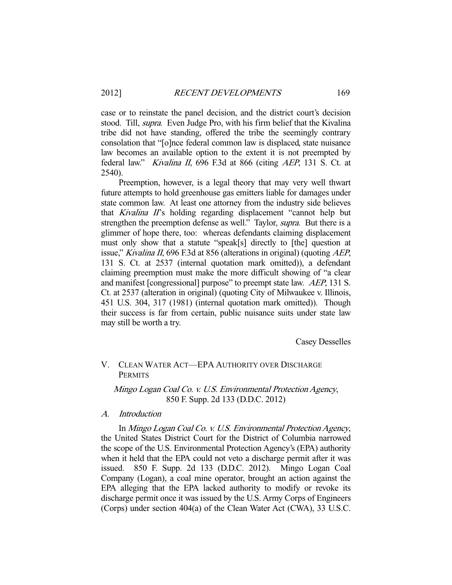case or to reinstate the panel decision, and the district court's decision stood. Till, *supra*. Even Judge Pro, with his firm belief that the Kivalina tribe did not have standing, offered the tribe the seemingly contrary consolation that "[o]nce federal common law is displaced, state nuisance law becomes an available option to the extent it is not preempted by federal law." Kivalina II, 696 F.3d at 866 (citing AEP, 131 S. Ct. at 2540).

 Preemption, however, is a legal theory that may very well thwart future attempts to hold greenhouse gas emitters liable for damages under state common law. At least one attorney from the industry side believes that Kivalina II's holding regarding displacement "cannot help but strengthen the preemption defense as well." Taylor, *supra*. But there is a glimmer of hope there, too: whereas defendants claiming displacement must only show that a statute "speak[s] directly to [the] question at issue," Kivalina II, 696 F.3d at 856 (alterations in original) (quoting AEP, 131 S. Ct. at 2537 (internal quotation mark omitted)), a defendant claiming preemption must make the more difficult showing of "a clear and manifest [congressional] purpose" to preempt state law. AEP, 131 S. Ct. at 2537 (alteration in original) (quoting City of Milwaukee v. Illinois, 451 U.S. 304, 317 (1981) (internal quotation mark omitted)). Though their success is far from certain, public nuisance suits under state law may still be worth a try.

Casey Desselles

# V. CLEAN WATER ACT—EPA AUTHORITY OVER DISCHARGE **PERMITS**

Mingo Logan Coal Co. v. U.S. Environmental Protection Agency, 850 F. Supp. 2d 133 (D.D.C. 2012)

# A. Introduction

 In Mingo Logan Coal Co. v. U.S. Environmental Protection Agency, the United States District Court for the District of Columbia narrowed the scope of the U.S. Environmental Protection Agency's (EPA) authority when it held that the EPA could not veto a discharge permit after it was issued. 850 F. Supp. 2d 133 (D.D.C. 2012). Mingo Logan Coal Company (Logan), a coal mine operator, brought an action against the EPA alleging that the EPA lacked authority to modify or revoke its discharge permit once it was issued by the U.S. Army Corps of Engineers (Corps) under section 404(a) of the Clean Water Act (CWA), 33 U.S.C.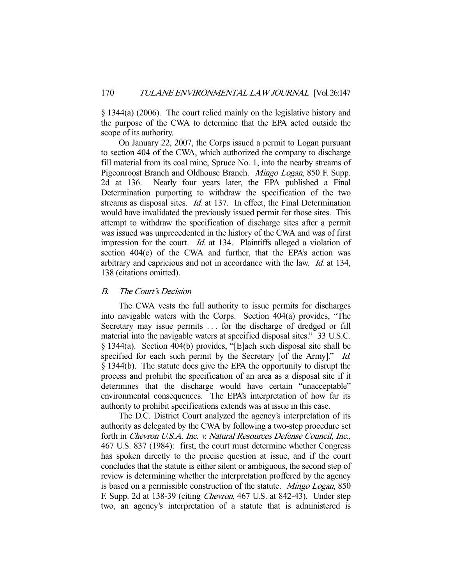§ 1344(a) (2006). The court relied mainly on the legislative history and the purpose of the CWA to determine that the EPA acted outside the scope of its authority.

 On January 22, 2007, the Corps issued a permit to Logan pursuant to section 404 of the CWA, which authorized the company to discharge fill material from its coal mine, Spruce No. 1, into the nearby streams of Pigeonroost Branch and Oldhouse Branch. Mingo Logan, 850 F. Supp. 2d at 136. Nearly four years later, the EPA published a Final Determination purporting to withdraw the specification of the two streams as disposal sites. *Id.* at 137. In effect, the Final Determination would have invalidated the previously issued permit for those sites. This attempt to withdraw the specification of discharge sites after a permit was issued was unprecedented in the history of the CWA and was of first impression for the court. *Id.* at 134. Plaintiffs alleged a violation of section 404(c) of the CWA and further, that the EPA's action was arbitrary and capricious and not in accordance with the law. Id. at 134, 138 (citations omitted).

## B. The Court's Decision

 The CWA vests the full authority to issue permits for discharges into navigable waters with the Corps. Section 404(a) provides, "The Secretary may issue permits . . . for the discharge of dredged or fill material into the navigable waters at specified disposal sites." 33 U.S.C. § 1344(a). Section 404(b) provides, "[E]ach such disposal site shall be specified for each such permit by the Secretary [of the Army]." Id. § 1344(b). The statute does give the EPA the opportunity to disrupt the process and prohibit the specification of an area as a disposal site if it determines that the discharge would have certain "unacceptable" environmental consequences. The EPA's interpretation of how far its authority to prohibit specifications extends was at issue in this case.

 The D.C. District Court analyzed the agency's interpretation of its authority as delegated by the CWA by following a two-step procedure set forth in Chevron U.S.A. Inc. v. Natural Resources Defense Council, Inc., 467 U.S. 837 (1984): first, the court must determine whether Congress has spoken directly to the precise question at issue, and if the court concludes that the statute is either silent or ambiguous, the second step of review is determining whether the interpretation proffered by the agency is based on a permissible construction of the statute. Mingo Logan, 850 F. Supp. 2d at 138-39 (citing Chevron, 467 U.S. at 842-43). Under step two, an agency's interpretation of a statute that is administered is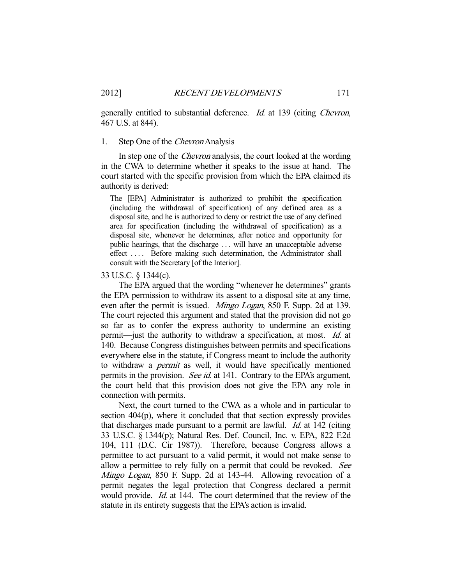generally entitled to substantial deference. Id. at 139 (citing Chevron, 467 U.S. at 844).

## 1. Step One of the Chevron Analysis

In step one of the *Chevron* analysis, the court looked at the wording in the CWA to determine whether it speaks to the issue at hand. The court started with the specific provision from which the EPA claimed its authority is derived:

The [EPA] Administrator is authorized to prohibit the specification (including the withdrawal of specification) of any defined area as a disposal site, and he is authorized to deny or restrict the use of any defined area for specification (including the withdrawal of specification) as a disposal site, whenever he determines, after notice and opportunity for public hearings, that the discharge . . . will have an unacceptable adverse effect . . . . Before making such determination, the Administrator shall consult with the Secretary [of the Interior].

#### 33 U.S.C. § 1344(c).

 The EPA argued that the wording "whenever he determines" grants the EPA permission to withdraw its assent to a disposal site at any time, even after the permit is issued. *Mingo Logan*, 850 F. Supp. 2d at 139. The court rejected this argument and stated that the provision did not go so far as to confer the express authority to undermine an existing permit—just the authority to withdraw a specification, at most. Id. at 140. Because Congress distinguishes between permits and specifications everywhere else in the statute, if Congress meant to include the authority to withdraw a permit as well, it would have specifically mentioned permits in the provision. See id. at 141. Contrary to the EPA's argument, the court held that this provision does not give the EPA any role in connection with permits.

 Next, the court turned to the CWA as a whole and in particular to section 404(p), where it concluded that that section expressly provides that discharges made pursuant to a permit are lawful. Id. at 142 (citing 33 U.S.C. § 1344(p); Natural Res. Def. Council, Inc. v. EPA, 822 F.2d 104, 111 (D.C. Cir 1987)). Therefore, because Congress allows a permittee to act pursuant to a valid permit, it would not make sense to allow a permittee to rely fully on a permit that could be revoked. See Mingo Logan, 850 F. Supp. 2d at 143-44. Allowing revocation of a permit negates the legal protection that Congress declared a permit would provide. *Id.* at 144. The court determined that the review of the statute in its entirety suggests that the EPA's action is invalid.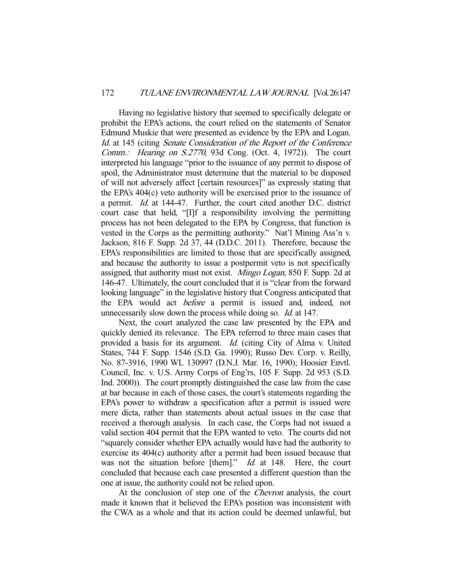Having no legislative history that seemed to specifically delegate or prohibit the EPA's actions, the court relied on the statements of Senator Edmund Muskie that were presented as evidence by the EPA and Logan. Id. at 145 (citing Senate Consideration of the Report of the Conference Comm.: Hearing on S.2770, 93d Cong. (Oct. 4, 1972)). The court interpreted his language "prior to the issuance of any permit to dispose of spoil, the Administrator must determine that the material to be disposed of will not adversely affect [certain resources]" as expressly stating that the EPA's 404(c) veto authority will be exercised prior to the issuance of a permit. Id. at 144-47. Further, the court cited another D.C. district court case that held, "[I]f a responsibility involving the permitting process has not been delegated to the EPA by Congress, that function is vested in the Corps as the permitting authority." Nat'l Mining Ass'n v. Jackson, 816 F. Supp. 2d 37, 44 (D.D.C. 2011). Therefore, because the EPA's responsibilities are limited to those that are specifically assigned, and because the authority to issue a postpermit veto is not specifically assigned, that authority must not exist. Mingo Logan, 850 F. Supp. 2d at 146-47. Ultimately, the court concluded that it is "clear from the forward looking language" in the legislative history that Congress anticipated that the EPA would act before a permit is issued and, indeed, not unnecessarily slow down the process while doing so. *Id.* at 147.

 Next, the court analyzed the case law presented by the EPA and quickly denied its relevance. The EPA referred to three main cases that provided a basis for its argument. Id. (citing City of Alma v. United States, 744 F. Supp. 1546 (S.D. Ga. 1990); Russo Dev. Corp. v. Reilly, No. 87-3916, 1990 WL 130997 (D.N.J. Mar. 16, 1990); Hoosier Envtl. Council, Inc. v. U.S. Army Corps of Eng'rs, 105 F. Supp. 2d 953 (S.D. Ind. 2000)). The court promptly distinguished the case law from the case at bar because in each of those cases, the court's statements regarding the EPA's power to withdraw a specification after a permit is issued were mere dicta, rather than statements about actual issues in the case that received a thorough analysis. In each case, the Corps had not issued a valid section 404 permit that the EPA wanted to veto. The courts did not "squarely consider whether EPA actually would have had the authority to exercise its 404(c) authority after a permit had been issued because that was not the situation before [them]." *Id.* at 148. Here, the court concluded that because each case presented a different question than the one at issue, the authority could not be relied upon.

At the conclusion of step one of the *Chevron* analysis, the court made it known that it believed the EPA's position was inconsistent with the CWA as a whole and that its action could be deemed unlawful, but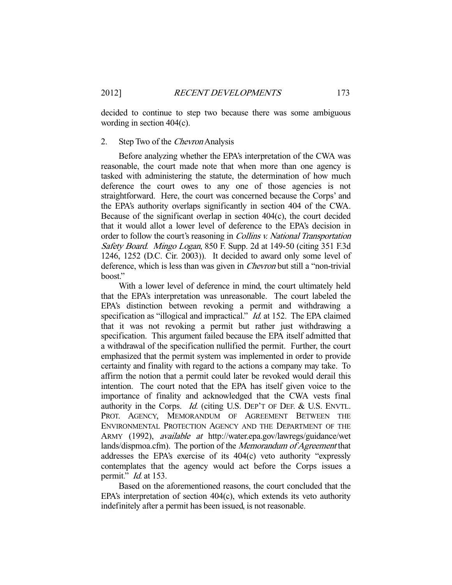decided to continue to step two because there was some ambiguous wording in section 404(c).

## 2. Step Two of the *Chevron* Analysis

 Before analyzing whether the EPA's interpretation of the CWA was reasonable, the court made note that when more than one agency is tasked with administering the statute, the determination of how much deference the court owes to any one of those agencies is not straightforward. Here, the court was concerned because the Corps' and the EPA's authority overlaps significantly in section 404 of the CWA. Because of the significant overlap in section 404(c), the court decided that it would allot a lower level of deference to the EPA's decision in order to follow the court's reasoning in Collins v. National Transportation Safety Board. Mingo Logan, 850 F. Supp. 2d at 149-50 (citing 351 F.3d 1246, 1252 (D.C. Cir. 2003)). It decided to award only some level of deference, which is less than was given in Chevron but still a "non-trivial boost."

 With a lower level of deference in mind, the court ultimately held that the EPA's interpretation was unreasonable. The court labeled the EPA's distinction between revoking a permit and withdrawing a specification as "illogical and impractical." *Id.* at 152. The EPA claimed that it was not revoking a permit but rather just withdrawing a specification. This argument failed because the EPA itself admitted that a withdrawal of the specification nullified the permit. Further, the court emphasized that the permit system was implemented in order to provide certainty and finality with regard to the actions a company may take. To affirm the notion that a permit could later be revoked would derail this intention. The court noted that the EPA has itself given voice to the importance of finality and acknowledged that the CWA vests final authority in the Corps. *Id.* (citing U.S. DEP'T OF DEF. & U.S. ENVTL. PROT. AGENCY, MEMORANDUM OF AGREEMENT BETWEEN THE ENVIRONMENTAL PROTECTION AGENCY AND THE DEPARTMENT OF THE ARMY (1992), available at http://water.epa.gov/lawregs/guidance/wet lands/dispmoa.cfm). The portion of the Memorandum of Agreement that addresses the EPA's exercise of its 404(c) veto authority "expressly contemplates that the agency would act before the Corps issues a permit."  $Id$  at 153.

 Based on the aforementioned reasons, the court concluded that the EPA's interpretation of section 404(c), which extends its veto authority indefinitely after a permit has been issued, is not reasonable.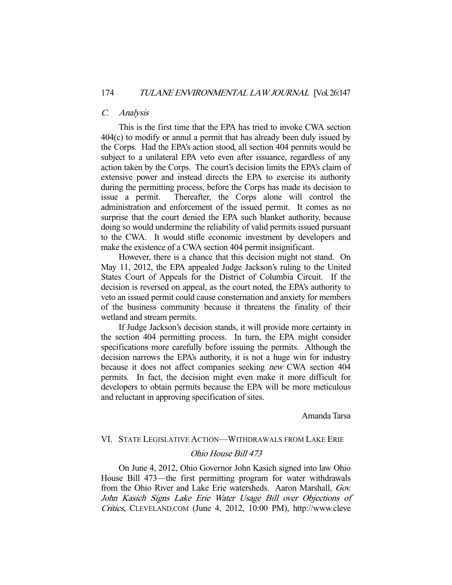## C. Analysis

 This is the first time that the EPA has tried to invoke CWA section 404(c) to modify or annul a permit that has already been duly issued by the Corps. Had the EPA's action stood, all section 404 permits would be subject to a unilateral EPA veto even after issuance, regardless of any action taken by the Corps. The court's decision limits the EPA's claim of extensive power and instead directs the EPA to exercise its authority during the permitting process, before the Corps has made its decision to issue a permit. Thereafter, the Corps alone will control the administration and enforcement of the issued permit. It comes as no surprise that the court denied the EPA such blanket authority, because doing so would undermine the reliability of valid permits issued pursuant to the CWA. It would stifle economic investment by developers and make the existence of a CWA section 404 permit insignificant.

 However, there is a chance that this decision might not stand. On May 11, 2012, the EPA appealed Judge Jackson's ruling to the United States Court of Appeals for the District of Columbia Circuit. If the decision is reversed on appeal, as the court noted, the EPA's authority to veto an issued permit could cause consternation and anxiety for members of the business community because it threatens the finality of their wetland and stream permits.

 If Judge Jackson's decision stands, it will provide more certainty in the section 404 permitting process. In turn, the EPA might consider specifications more carefully before issuing the permits. Although the decision narrows the EPA's authority, it is not a huge win for industry because it does not affect companies seeking new CWA section 404 permits. In fact, the decision might even make it more difficult for developers to obtain permits because the EPA will be more meticulous and reluctant in approving specification of sites.

#### Amanda Tarsa

#### VI. STATE LEGISLATIVE ACTION—WITHDRAWALS FROM LAKE ERIE

#### Ohio House Bill 473

 On June 4, 2012, Ohio Governor John Kasich signed into law Ohio House Bill 473—the first permitting program for water withdrawals from the Ohio River and Lake Erie watersheds. Aaron Marshall, Gov. John Kasich Signs Lake Erie Water Usage Bill over Objections of Critics, CLEVELAND.COM (June 4, 2012, 10:00 PM), http://www.cleve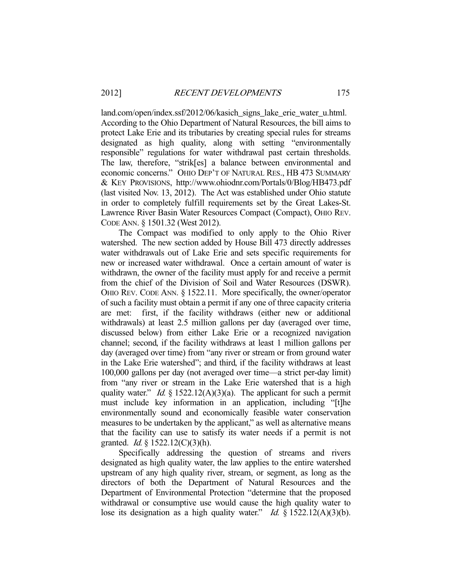land.com/open/index.ssf/2012/06/kasich\_signs\_lake\_erie\_water\_u.html. According to the Ohio Department of Natural Resources, the bill aims to protect Lake Erie and its tributaries by creating special rules for streams designated as high quality, along with setting "environmentally responsible" regulations for water withdrawal past certain thresholds. The law, therefore, "strik[es] a balance between environmental and economic concerns." OHIO DEP'T OF NATURAL RES., HB 473 SUMMARY & KEY PROVISIONS, http://www.ohiodnr.com/Portals/0/Blog/HB473.pdf (last visited Nov. 13, 2012). The Act was established under Ohio statute in order to completely fulfill requirements set by the Great Lakes-St. Lawrence River Basin Water Resources Compact (Compact), OHIO REV. CODE ANN. § 1501.32 (West 2012).

 The Compact was modified to only apply to the Ohio River watershed. The new section added by House Bill 473 directly addresses water withdrawals out of Lake Erie and sets specific requirements for new or increased water withdrawal. Once a certain amount of water is withdrawn, the owner of the facility must apply for and receive a permit from the chief of the Division of Soil and Water Resources (DSWR). OHIO REV. CODE ANN. § 1522.11. More specifically, the owner/operator of such a facility must obtain a permit if any one of three capacity criteria are met: first, if the facility withdraws (either new or additional withdrawals) at least 2.5 million gallons per day (averaged over time, discussed below) from either Lake Erie or a recognized navigation channel; second, if the facility withdraws at least 1 million gallons per day (averaged over time) from "any river or stream or from ground water in the Lake Erie watershed"; and third, if the facility withdraws at least 100,000 gallons per day (not averaged over time—a strict per-day limit) from "any river or stream in the Lake Erie watershed that is a high quality water." *Id.*  $\S$  1522.12(A)(3)(a). The applicant for such a permit must include key information in an application, including "[t]he environmentally sound and economically feasible water conservation measures to be undertaken by the applicant," as well as alternative means that the facility can use to satisfy its water needs if a permit is not granted. *Id.* § 1522.12(C)(3)(h).

 Specifically addressing the question of streams and rivers designated as high quality water, the law applies to the entire watershed upstream of any high quality river, stream, or segment, as long as the directors of both the Department of Natural Resources and the Department of Environmental Protection "determine that the proposed withdrawal or consumptive use would cause the high quality water to lose its designation as a high quality water." *Id.*  $\S$  1522.12(A)(3)(b).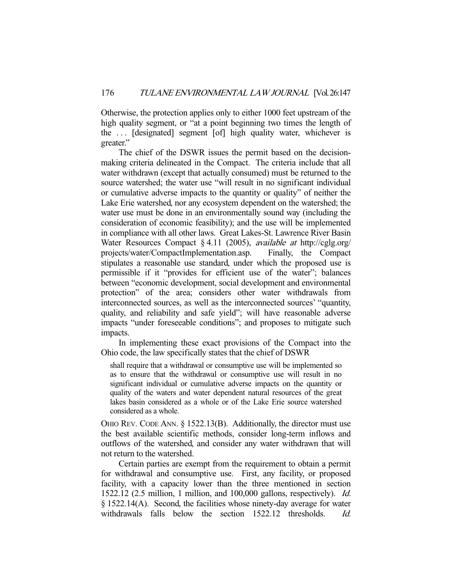Otherwise, the protection applies only to either 1000 feet upstream of the high quality segment, or "at a point beginning two times the length of the . . . [designated] segment [of] high quality water, whichever is greater."

 The chief of the DSWR issues the permit based on the decisionmaking criteria delineated in the Compact. The criteria include that all water withdrawn (except that actually consumed) must be returned to the source watershed; the water use "will result in no significant individual or cumulative adverse impacts to the quantity or quality" of neither the Lake Erie watershed, nor any ecosystem dependent on the watershed; the water use must be done in an environmentally sound way (including the consideration of economic feasibility); and the use will be implemented in compliance with all other laws. Great Lakes-St. Lawrence River Basin Water Resources Compact § 4.11 (2005), available at http://cglg.org/ projects/water/CompactImplementation.asp. Finally, the Compact stipulates a reasonable use standard, under which the proposed use is permissible if it "provides for efficient use of the water"; balances between "economic development, social development and environmental protection" of the area; considers other water withdrawals from interconnected sources, as well as the interconnected sources' "quantity, quality, and reliability and safe yield"; will have reasonable adverse impacts "under foreseeable conditions"; and proposes to mitigate such impacts.

 In implementing these exact provisions of the Compact into the Ohio code, the law specifically states that the chief of DSWR

shall require that a withdrawal or consumptive use will be implemented so as to ensure that the withdrawal or consumptive use will result in no significant individual or cumulative adverse impacts on the quantity or quality of the waters and water dependent natural resources of the great lakes basin considered as a whole or of the Lake Erie source watershed considered as a whole.

OHIO REV. CODE ANN. § 1522.13(B). Additionally, the director must use the best available scientific methods, consider long-term inflows and outflows of the watershed, and consider any water withdrawn that will not return to the watershed.

 Certain parties are exempt from the requirement to obtain a permit for withdrawal and consumptive use. First, any facility, or proposed facility, with a capacity lower than the three mentioned in section 1522.12 (2.5 million, 1 million, and 100,000 gallons, respectively). Id. § 1522.14(A). Second, the facilities whose ninety-day average for water withdrawals falls below the section 1522.12 thresholds. Id.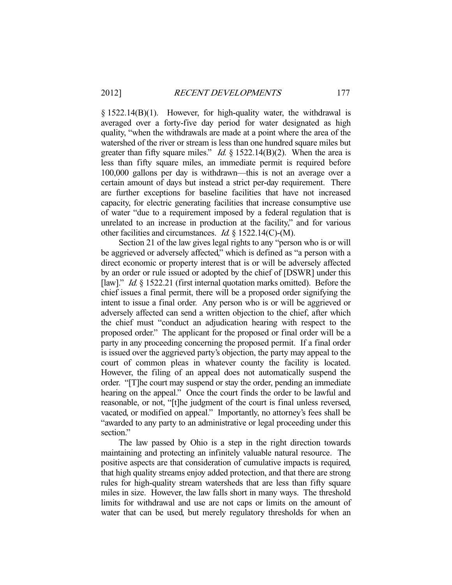$\S$  1522.14(B)(1). However, for high-quality water, the withdrawal is averaged over a forty-five day period for water designated as high quality, "when the withdrawals are made at a point where the area of the watershed of the river or stream is less than one hundred square miles but greater than fifty square miles." *Id.*  $\S 1522.14(B)(2)$ . When the area is less than fifty square miles, an immediate permit is required before 100,000 gallons per day is withdrawn—this is not an average over a certain amount of days but instead a strict per-day requirement. There are further exceptions for baseline facilities that have not increased capacity, for electric generating facilities that increase consumptive use of water "due to a requirement imposed by a federal regulation that is unrelated to an increase in production at the facility," and for various other facilities and circumstances. Id. § 1522.14(C)-(M).

 Section 21 of the law gives legal rights to any "person who is or will be aggrieved or adversely affected," which is defined as "a person with a direct economic or property interest that is or will be adversely affected by an order or rule issued or adopted by the chief of [DSWR] under this [law]." *Id.* § 1522.21 (first internal quotation marks omitted). Before the chief issues a final permit, there will be a proposed order signifying the intent to issue a final order. Any person who is or will be aggrieved or adversely affected can send a written objection to the chief, after which the chief must "conduct an adjudication hearing with respect to the proposed order." The applicant for the proposed or final order will be a party in any proceeding concerning the proposed permit. If a final order is issued over the aggrieved party's objection, the party may appeal to the court of common pleas in whatever county the facility is located. However, the filing of an appeal does not automatically suspend the order. "[T]he court may suspend or stay the order, pending an immediate hearing on the appeal." Once the court finds the order to be lawful and reasonable, or not, "[t]he judgment of the court is final unless reversed, vacated, or modified on appeal." Importantly, no attorney's fees shall be "awarded to any party to an administrative or legal proceeding under this section."

 The law passed by Ohio is a step in the right direction towards maintaining and protecting an infinitely valuable natural resource. The positive aspects are that consideration of cumulative impacts is required, that high quality streams enjoy added protection, and that there are strong rules for high-quality stream watersheds that are less than fifty square miles in size. However, the law falls short in many ways. The threshold limits for withdrawal and use are not caps or limits on the amount of water that can be used, but merely regulatory thresholds for when an